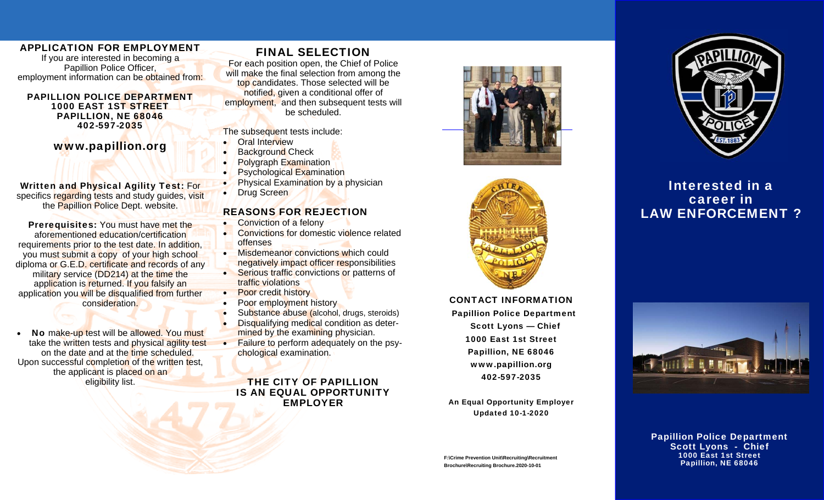#### APPLICATION FOR EMPLOYMENT

If you are interested in becoming a Papillion Police Officer, employment information can be obtained from:

#### PAPILLION POLICE DEPARTMENT 1000 EAST 1ST STREET PAPILLION, NE 68046 402-597-2035

### www.papillion.org

Written and Physical Agility Test: For specifics regarding tests and study guides, visit the Papillion Police Dept. website.

Prerequisites: You must have met the aforementioned education/certification requirements prior to the test date. In addition, you must submit a copy of your high school diploma or G.E.D. certificate and records of any military service (DD214) at the time the application is returned. If you falsify an application you will be disqualified from further consideration.

 $\bullet$ No make-up test will be allowed. You must take the written tests and physical agility test on the date and at the time scheduled. Upon successful completion of the written test, the applicant is placed on an eligibility list.

# FINAL SELECTION

For each position open, the Chief of Police will make the final selection from among the top candidates. Those selected will be notified, given a conditional offer of employment, and then subsequent tests will be scheduled.

#### The subsequent tests include:

- $\bullet$ Oral Interview
- $\bullet$ Background Check
- $\bullet$ Polygraph Examination
- $\bullet$ Psychological Examination
- $\bullet$ Physical Examination by a physician
- $\bullet$ Drug Screen

#### REASONS FOR REJECTION

- $\bullet$ Conviction of a felony
- $\bullet$ **Convictions for domestic violence related** offenses
- $\bullet$  Misdemeanor convictions which could negatively impact officer responsibilities
- Serious traffic convictions or patterns of traffic violations
- $\bullet$ **Poor credit history**
- $\bullet$ Poor employment history
- $\bullet$ Substance abuse (alcohol, drugs, steroids)
- $\bullet$  Disqualifying medical condition as determined by the examining physician.
- $\bullet$  Failure to perform adequately on the psychological examination.

THE CITY OF PAPILLION IS AN EQUAL OPPORTUNITY EMPLOYER





CONTACT INFORMATION Papillion Police Department Scott Lyons — Chief 1000 East 1st Street Papillion, NE 68046 www.papillion.org 402-597-2035

An Equal Opportunity Employer Updated 10-1-2020

**F:\Crime Prevention Unit\Recruiting\Recruitment Brochure\Recruiting Brochure.2020-10-01**



# **Interested in a** career in Law Enforcement? LAW ENFORCEMENT ?



Papillion Police Department Scott Lyons - Chief 1000 East 1st Street Papillion, NE 68046